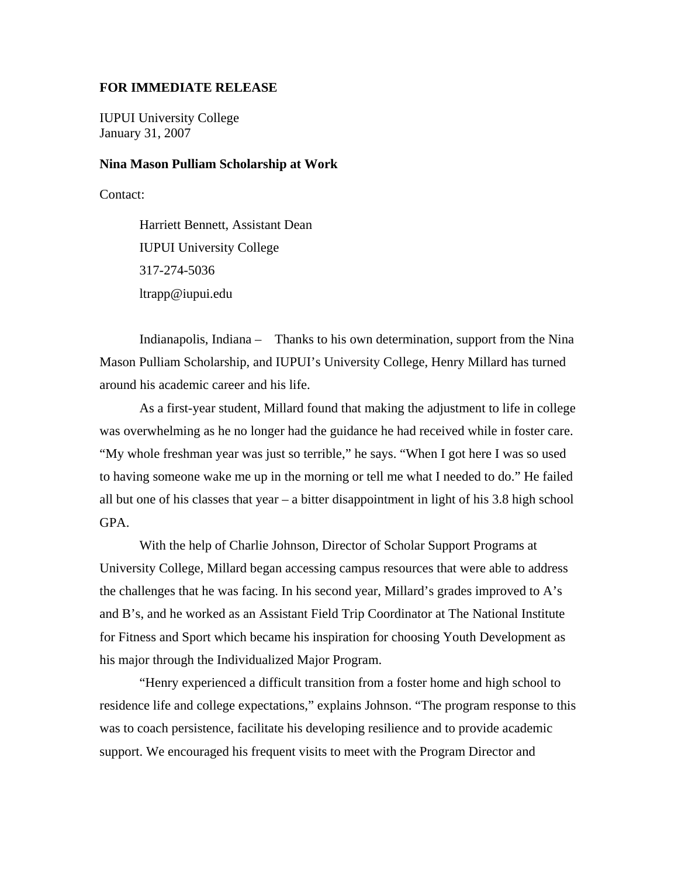## **FOR IMMEDIATE RELEASE**

IUPUI University College January 31, 2007

## **Nina Mason Pulliam Scholarship at Work**

Contact:

Harriett Bennett, Assistant Dean IUPUI University College 317-274-5036 ltrapp@iupui.edu

Indianapolis, Indiana – Thanks to his own determination, support from the Nina Mason Pulliam Scholarship, and IUPUI's University College, Henry Millard has turned around his academic career and his life.

As a first-year student, Millard found that making the adjustment to life in college was overwhelming as he no longer had the guidance he had received while in foster care. "My whole freshman year was just so terrible," he says. "When I got here I was so used to having someone wake me up in the morning or tell me what I needed to do." He failed all but one of his classes that year – a bitter disappointment in light of his 3.8 high school GPA.

With the help of Charlie Johnson, Director of Scholar Support Programs at University College, Millard began accessing campus resources that were able to address the challenges that he was facing. In his second year, Millard's grades improved to A's and B's, and he worked as an Assistant Field Trip Coordinator at The National Institute for Fitness and Sport which became his inspiration for choosing Youth Development as his major through the Individualized Major Program.

"Henry experienced a difficult transition from a foster home and high school to residence life and college expectations," explains Johnson. "The program response to this was to coach persistence, facilitate his developing resilience and to provide academic support. We encouraged his frequent visits to meet with the Program Director and